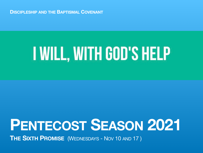**DISCIPLESHIP AND THE BAPTISMAL COVENANT**

# I WILL, WITH GOD'S HELP

## **PENTECOST SEASON 2021**

**THE SIXTH PROMISE** (WEDNESDAYS - NOV 10 AND 17 )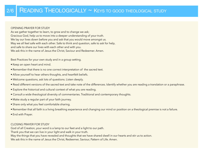#### OPENING PRAYER FOR STUDY

As we gather together to learn, to grow and to change we ask; Gracious God, help us to move into a deeper understanding of your truth. We lay our lives down before you and ask that you would move amongst us. May we all feel safe with each other. Safe to think and question, safe to ask for help, and safe to share our lives with each other and with you. We ask this in the name of Jesus the Christ, Saviour and Redeemer. Amen.

Best Practices for your own study and in a group setting.

- Keep an open heart and mind.
- Remember that there is no one correct interpretation of the sacred text.
- Allow yourself to hear others thoughts, and heartfelt beliefs.
- Welcome questions, ask lots of questions. Listen deeply.
- Read different versions of the sacred text and take note of the differences. Identify whether you are reading a translation or a paraphrase.
- Explore the historical and cultural context of what you are reading.
- Consult a wide theological diversity of commentaries. Traditional and contemporary thoughts.
- Make study a regular part of your faith journey.
- Share only what you feel comfortable sharing.
- Remember that all faith is a living breathing experience and changing our mind or position on a theological premise is not a failure.
- End with Prayer.

#### CLOSING PRAYER FOR STUDY

God of all Creation, your word is a lamp to our feet and a light to our path.

Thank you that we can live in your light and walk in your truth.

May the things that you have revealed and thoughts that we have shared dwell in our hearts and stir us to action.

We ask this in the name of Jesus the Christ, Redeemer, Saviour, Pattern of Life. Amen.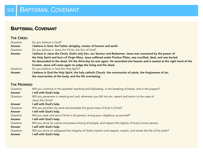## **BAPTISMAL COVENANT**

#### THE CREED

| Question      | Do you believe in God?                                                                                                   |
|---------------|--------------------------------------------------------------------------------------------------------------------------|
| <b>Answer</b> | I believe in God, the Father almighty, creator of heaven and earth.                                                      |
| Question      | Do you believe in Jesus the Christ, the Son of God?                                                                      |
| <b>Answer</b> | I believe in Jesus the Christ, God's only Son, our Saviour and Redeemer. Jesus was conceived by the power of             |
|               | the Holy Spirit and born of Virgin Mary. Jesus suffered under Pontius Pilate, was crucified, died, and was buried.       |
|               | He descended to the dead. On the third day he rose again. He ascended into heaven and is seated at the right hand of the |
|               | Creator. Jesus will come again to judge the living and the dead.                                                         |
| Question      | Do you believe in God the Holy Spirit?                                                                                   |
| <b>Answer</b> | I believe in God the Holy Spirit, the holy catholic Church, the communion of saints, the forgiveness of sin,             |
|               | the resurrection of the body, and the life everlasting.                                                                  |

#### **THE PROMISES**

| Question      | Will you continue in the apostles' teaching and fellowship, in the breaking of bread, and in the prayers?           |
|---------------|---------------------------------------------------------------------------------------------------------------------|
| <b>Answer</b> | I will with God's help.                                                                                             |
| Question      | Will you persevere in resisting evil and, whenever you fall into sin, repent and return to the ways of              |
|               | Jesus the Christ?                                                                                                   |
| <b>Answer</b> | I will with God's help.                                                                                             |
| Question      | Will you proclaim by word and example the good news of God in Christ?                                               |
| <b>Answer</b> | I will with God's help.                                                                                             |
| Question      | Will you seek and serve Christ in all persons, loving your neighbour as yourself?                                   |
| <b>Answer</b> | I will with God's help.                                                                                             |
| Question      | Will you strive for justice and peace among all people, and respect the dignity of every human person.              |
| <b>Answer</b> | I will with God's help.                                                                                             |
| Question      | Will you strive to safeguard the integrity of God's creation and respect, sustain, and renew the life of the earth? |
| <b>Answer</b> | will with God's help.                                                                                               |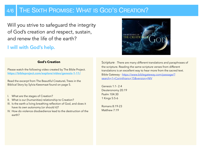## 4/6 THE SIXTH PROMISE: WHAT IS GOD'S CREATION?

Will you strive to safeguard the integrity of God's creation and respect, sustain, and renew the life of the earth?

## I will with God's help.



#### **God's Creation**

Please watch the following video created by The Bible Project. **<https://bibleproject.com/explore/video/genesis-1-11/>**

Read the excerpt from The Beautiful CreatureL Trees in the Biblical Story by Sylvia Keesmaat found on page 5.

- I. What are the stages of Creation?
- II. What is our (humanities) relationship to Creation?
- III. Is the earth a living breathing reflection of God, and does it have its own autonomy (or should it)?
- IV. How do violence disobedience lead to the destruction of the earth?

Scripture - There are many different translations and paraphrases of the scripture. Reading the same scripture verses from different translations is an excellent way to hear more from the sacred text. [Bible Gateway - https://www.biblegateway.com/passage/?](https://www.biblegateway.com/passage/?search=1+Corinthians+15&version=NIV) [search=1+Corinthians+15&version=NIV](https://www.biblegateway.com/passage/?search=1+Corinthians+15&version=NIV)

Genesis 1:1- 2:4 Deuteronomy 20:19 Psalm 104:30 1 Kings 5:5-6

Romans 8:19-23 Matthew 7:19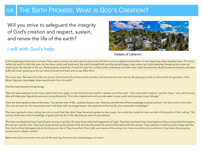## 5/6 THE SIXTH PROMISE: WHAT IS GOD'S CREATION?

Will you strive to safeguard the integrity of God's creation and respect, sustain, and renew the life of the earth?

### I will with God's help.



Cedars of Lebanon

In the beginning, there were no trees. There were no trees, for there was no rain to nourish them and no creature to tend them. In the beginning, there was the Voice. The Voice called the earth to birth the trees. As the Voice called and beckoned, the earth brought forth and the growth began: sap rushed up, limbs stretched, breaking the moist soil, reaching for the warmth of the sun. Roots groped, stretched, moved through the crumbly earth, embraced and cleft rocks, drew nourishment. Buds formed and leaves unfurled, fluffy and small, growing as the sun dried and warmed them and as sap filled them.

The Voice said, "Be trees full of life, be strong. Grow fruit for the birds and the animals, and branches for their homes. Be pleasing to look at, shout forth the grandeur of the Word. Dig your roots deep; draw nourishment from the earth."

And the trees became living beings.

Then the trees watched as the Voice called forth once again, as the Voice formed another creature out of the earth. "This is the earth creature," said the Voice, "who will tend you, who will dress your figs and prune your young blossoms. This is the creature who will provide water in your youth and pruning in your old age."

Then the Voice spoke to two of the trees. "You are the tree of life," said the Voice to one, "And you are the tree of the knowledge of good and evil," the Voice said to the other. "You are set apart for the covenantal meal I will share with my image bearer—the meal that will bring life, and, eventually, knowledge."1

The trees rejoiced in their calling, but not so much that they didn't hear the words spoken to the image, the words that made the trees wonder at the gravity of their calling: "Do not eat of the tree of the knowledge of good and evil, for in the day that you eat of it you will die."

The trees wondered at how it had all gone wrong so quickly. Oh, they knew what had happened, all right. They had overheard the conversation as they surrounded the serpent, the woman, and the man. They bore mute witness as the wisest of the animals discussed the words of the Voice with the woman. They watched in silence as the image took the fruit, the fruit that belonged only to the Voice, and ate it. They knew that if their gifts were taken at the wrong time, there would be no nourishment; they knew that grasping would result in death, not life.2

Before the Voice returned in the cool of the evening, the trees had already begun to mourn.